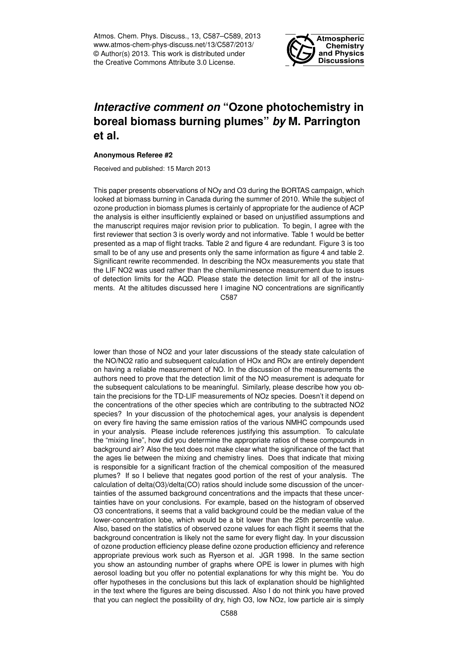Atmos. Chem. Phys. Discuss., 13, C587–C589, 2013 www.atmos-chem-phys-discuss.net/13/C587/2013/ © Author(s) 2013. This work is distributed under the Creative Commons Attribute 3.0 License.



## *Interactive comment on* **"Ozone photochemistry in boreal biomass burning plumes"** *by* **M. Parrington et al.**

## **Anonymous Referee #2**

Received and published: 15 March 2013

This paper presents observations of NOy and O3 during the BORTAS campaign, which looked at biomass burning in Canada during the summer of 2010. While the subject of ozone production in biomass plumes is certainly of appropriate for the audience of ACP the analysis is either insufficiently explained or based on unjustified assumptions and the manuscript requires major revision prior to publication. To begin, I agree with the first reviewer that section 3 is overly wordy and not informative. Table 1 would be better presented as a map of flight tracks. Table 2 and figure 4 are redundant. Figure 3 is too small to be of any use and presents only the same information as figure 4 and table 2. Significant rewrite recommended. In describing the NOx measurements you state that the LIF NO2 was used rather than the chemiluminesence measurement due to issues of detection limits for the AQD. Please state the detection limit for all of the instruments. At the altitudes discussed here I imagine NO concentrations are significantly C587

lower than those of NO2 and your later discussions of the steady state calculation of the NO/NO2 ratio and subsequent calculation of HOx and ROx are entirely dependent on having a reliable measurement of NO. In the discussion of the measurements the authors need to prove that the detection limit of the NO measurement is adequate for the subsequent calculations to be meaningful. Similarly, please describe how you obtain the precisions for the TD-LIF measurements of NOz species. Doesn't it depend on the concentrations of the other species which are contributing to the subtracted NO2 species? In your discussion of the photochemical ages, your analysis is dependent on every fire having the same emission ratios of the various NMHC compounds used in your analysis. Please include references justifying this assumption. To calculate the "mixing line", how did you determine the appropriate ratios of these compounds in background air? Also the text does not make clear what the significance of the fact that the ages lie between the mixing and chemistry lines. Does that indicate that mixing is responsible for a significant fraction of the chemical composition of the measured plumes? If so I believe that negates good portion of the rest of your analysis. The calculation of delta(O3)/delta(CO) ratios should include some discussion of the uncertainties of the assumed background concentrations and the impacts that these uncertainties have on your conclusions. For example, based on the histogram of observed O3 concentrations, it seems that a valid background could be the median value of the lower-concentration lobe, which would be a bit lower than the 25th percentile value. Also, based on the statistics of observed ozone values for each flight it seems that the background concentration is likely not the same for every flight day. In your discussion of ozone production efficiency please define ozone production efficiency and reference appropriate previous work such as Ryerson et al. JGR 1998. In the same section you show an astounding number of graphs where OPE is lower in plumes with high aerosol loading but you offer no potential explanations for why this might be. You do offer hypotheses in the conclusions but this lack of explanation should be highlighted in the text where the figures are being discussed. Also I do not think you have proved that you can neglect the possibility of dry, high O3, low NOz, low particle air is simply